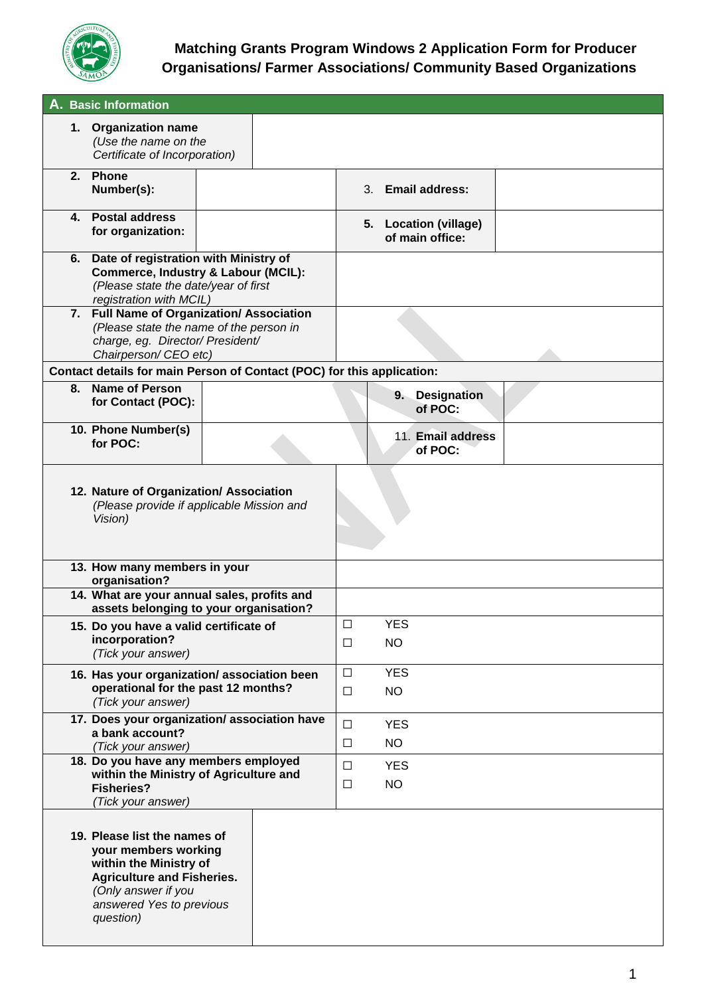

|    | A. Basic Information                                                                                                                                                                |  |                  |                         |  |                                          |  |
|----|-------------------------------------------------------------------------------------------------------------------------------------------------------------------------------------|--|------------------|-------------------------|--|------------------------------------------|--|
|    | 1. Organization name<br>(Use the name on the<br>Certificate of Incorporation)                                                                                                       |  |                  |                         |  |                                          |  |
| 2. | <b>Phone</b><br>Number(s):                                                                                                                                                          |  |                  |                         |  | 3. Email address:                        |  |
| 4. | <b>Postal address</b><br>for organization:                                                                                                                                          |  |                  |                         |  | 5. Location (village)<br>of main office: |  |
|    | 6. Date of registration with Ministry of<br><b>Commerce, Industry &amp; Labour (MCIL):</b><br>(Please state the date/year of first<br>registration with MCIL)                       |  |                  |                         |  |                                          |  |
|    | 7. Full Name of Organization/ Association<br>(Please state the name of the person in<br>charge, eg. Director/ President/<br>Chairperson/ CEO etc)                                   |  |                  |                         |  |                                          |  |
|    | Contact details for main Person of Contact (POC) for this application:                                                                                                              |  |                  |                         |  |                                          |  |
| 8. | <b>Name of Person</b><br>for Contact (POC):                                                                                                                                         |  |                  |                         |  | 9. Designation<br>of POC:                |  |
|    | 10. Phone Number(s)<br>for POC:                                                                                                                                                     |  |                  |                         |  | 11. Email address<br>of POC:             |  |
|    | 12. Nature of Organization/ Association<br>(Please provide if applicable Mission and<br>Vision)                                                                                     |  |                  |                         |  |                                          |  |
|    | 13. How many members in your<br>organisation?                                                                                                                                       |  |                  |                         |  |                                          |  |
|    | 14. What are your annual sales, profits and<br>assets belonging to your organisation?                                                                                               |  |                  |                         |  |                                          |  |
|    | 15. Do you have a valid certificate of<br>incorporation?<br>(Tick your answer)                                                                                                      |  | $\Box$           | <b>YES</b>              |  |                                          |  |
|    |                                                                                                                                                                                     |  | □                | <b>NO</b>               |  |                                          |  |
|    | 16. Has your organization/association been<br>operational for the past 12 months?<br>(Tick your answer)                                                                             |  | $\Box$<br>$\Box$ | <b>YES</b><br><b>NO</b> |  |                                          |  |
|    | 17. Does your organization/association have<br>a bank account?<br>(Tick your answer)                                                                                                |  | $\Box$<br>$\Box$ | <b>YES</b><br><b>NO</b> |  |                                          |  |
|    | 18. Do you have any members employed<br>within the Ministry of Agriculture and<br><b>Fisheries?</b><br>(Tick your answer)                                                           |  | □<br>□           | <b>YES</b><br><b>NO</b> |  |                                          |  |
|    | 19. Please list the names of<br>your members working<br>within the Ministry of<br><b>Agriculture and Fisheries.</b><br>(Only answer if you<br>answered Yes to previous<br>question) |  |                  |                         |  |                                          |  |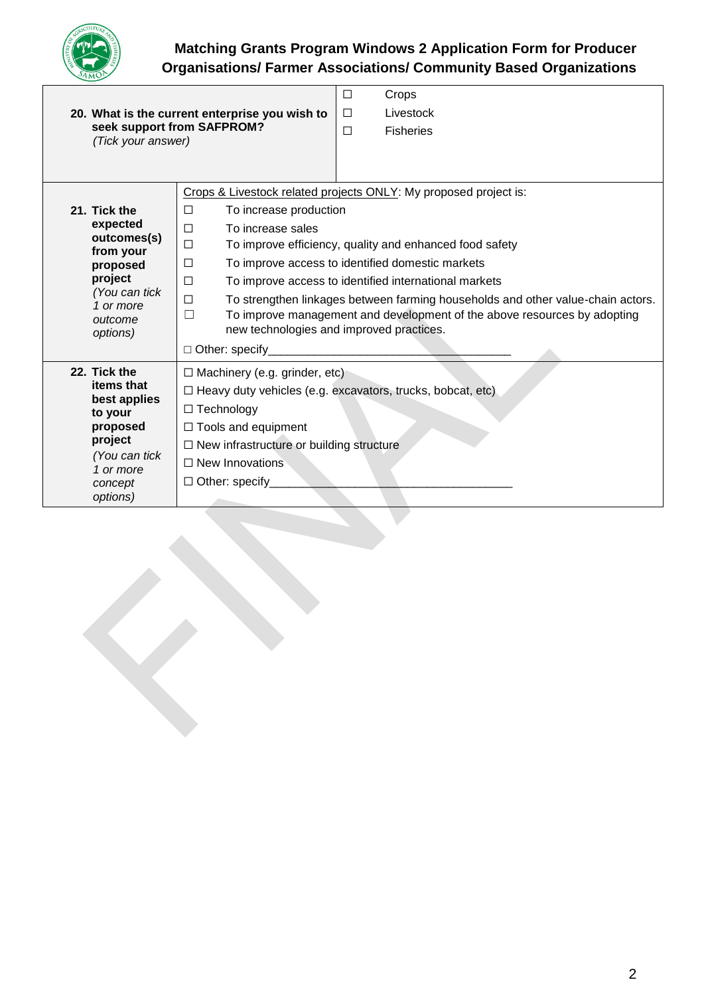

| 20. What is the current enterprise you wish to<br>seek support from SAFPROM?<br>(Tick your answer) |                                                                                                                                                                                                                        |  | Crops<br>Livestock<br><b>Fisheries</b> |  |
|----------------------------------------------------------------------------------------------------|------------------------------------------------------------------------------------------------------------------------------------------------------------------------------------------------------------------------|--|----------------------------------------|--|
|                                                                                                    |                                                                                                                                                                                                                        |  |                                        |  |
|                                                                                                    | Crops & Livestock related projects ONLY: My proposed project is:                                                                                                                                                       |  |                                        |  |
| 21. Tick the                                                                                       | $\Box$<br>To increase production                                                                                                                                                                                       |  |                                        |  |
| expected<br>outcomes(s)                                                                            | To increase sales<br>□                                                                                                                                                                                                 |  |                                        |  |
| from your                                                                                          | $\Box$<br>To improve efficiency, quality and enhanced food safety                                                                                                                                                      |  |                                        |  |
| proposed<br>project                                                                                | To improve access to identified domestic markets<br>□                                                                                                                                                                  |  |                                        |  |
| (You can tick                                                                                      | $\Box$<br>To improve access to identified international markets                                                                                                                                                        |  |                                        |  |
| 1 or more<br>outcome<br>options)                                                                   | $\Box$<br>To strengthen linkages between farming households and other value-chain actors.<br>To improve management and development of the above resources by adopting<br>П<br>new technologies and improved practices. |  |                                        |  |
|                                                                                                    | $\Box$ Other: specify                                                                                                                                                                                                  |  |                                        |  |
| 22. Tick the                                                                                       | $\Box$ Machinery (e.g. grinder, etc)                                                                                                                                                                                   |  |                                        |  |
| items that<br>best applies                                                                         | $\Box$ Heavy duty vehicles (e.g. excavators, trucks, bobcat, etc)                                                                                                                                                      |  |                                        |  |
| to your                                                                                            | $\Box$ Technology                                                                                                                                                                                                      |  |                                        |  |
| proposed                                                                                           | $\Box$ Tools and equipment                                                                                                                                                                                             |  |                                        |  |
| project                                                                                            | $\Box$ New infrastructure or building structure                                                                                                                                                                        |  |                                        |  |
| (You can tick<br>1 or more                                                                         | $\Box$ New Innovations                                                                                                                                                                                                 |  |                                        |  |
| concept                                                                                            | $\Box$ Other: specify                                                                                                                                                                                                  |  |                                        |  |
| options)                                                                                           |                                                                                                                                                                                                                        |  |                                        |  |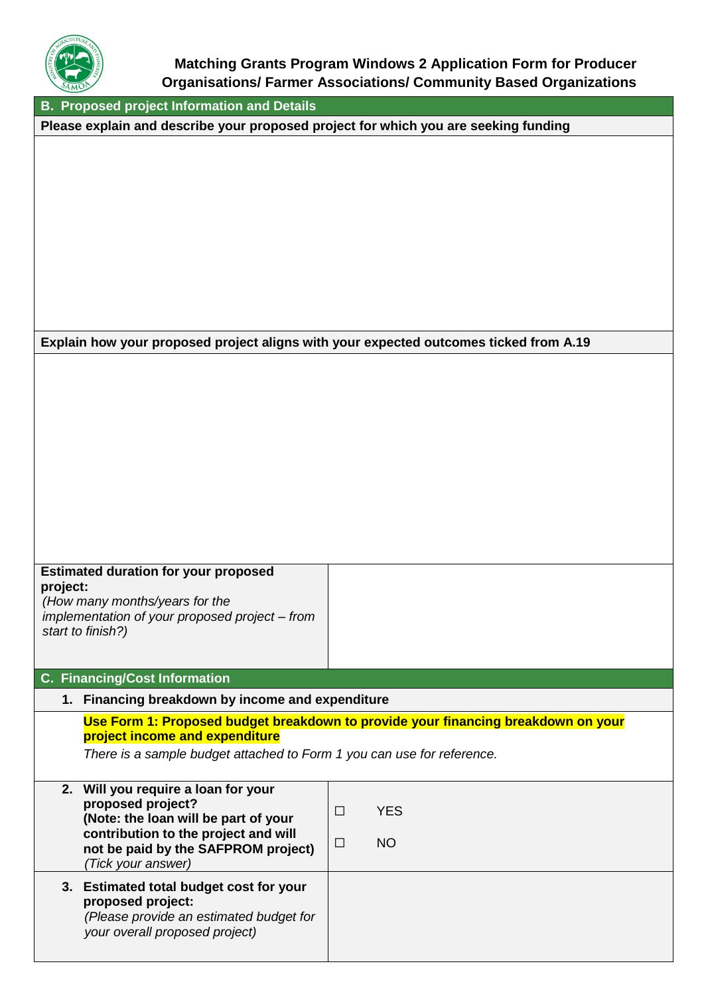

**B. Proposed project Information and Details**

**Please explain and describe your proposed project for which you are seeking funding**

#### **Explain how your proposed project aligns with your expected outcomes ticked from A.19**

| <b>Estimated duration for your proposed</b> |  |
|---------------------------------------------|--|
| project:                                    |  |
| $\mu$ low menu menutolyeen fexthe           |  |

*(How many months/years for the implementation of your proposed project – from start to finish?)*

#### **C. Financing/Cost Information**

#### **1. Financing breakdown by income and expenditure**

#### **Use Form 1: Proposed budget breakdown to provide your financing breakdown on your project income and expenditure**

*There is a sample budget attached to Form 1 you can use for reference.*

| 2. Will you require a loan for your<br>proposed project?<br>(Note: the loan will be part of your<br>contribution to the project and will<br>not be paid by the SAFPROM project)<br>(Tick your answer) | <b>YES</b><br>П<br><b>NO</b><br>П |
|-------------------------------------------------------------------------------------------------------------------------------------------------------------------------------------------------------|-----------------------------------|
| 3. Estimated total budget cost for your<br>proposed project:<br>(Please provide an estimated budget for<br>your overall proposed project)                                                             |                                   |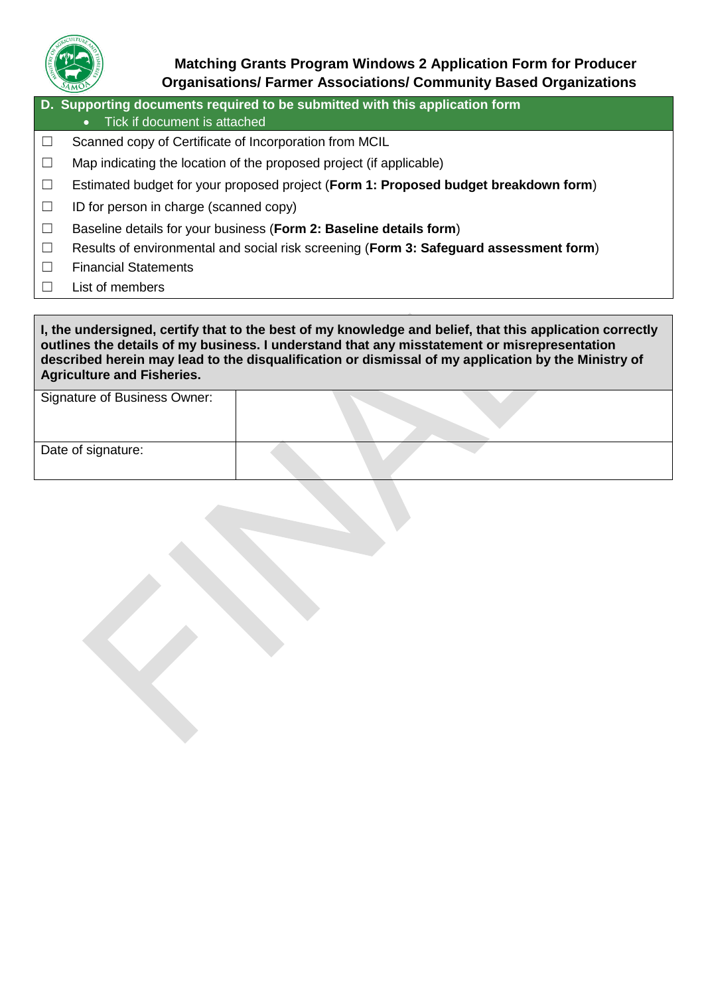

**D. Supporting documents required to be submitted with this application form** • Tick if document is attached ☐ Scanned copy of Certificate of Incorporation from MCIL  $\Box$  Map indicating the location of the proposed project (if applicable) ☐ Estimated budget for your proposed project (**Form 1: Proposed budget breakdown form**)  $\Box$  ID for person in charge (scanned copy) ☐ Baseline details for your business (**Form 2: Baseline details form**)

- ☐ Results of environmental and social risk screening (**Form 3: Safeguard assessment form**)
- ☐ Financial Statements
- ☐ List of members

**I, the undersigned, certify that to the best of my knowledge and belief, that this application correctly outlines the details of my business. I understand that any misstatement or misrepresentation described herein may lead to the disqualification or dismissal of my application by the Ministry of Agriculture and Fisheries.**

| <b>Signature of Business Owner:</b> |  |
|-------------------------------------|--|
| Date of signature:                  |  |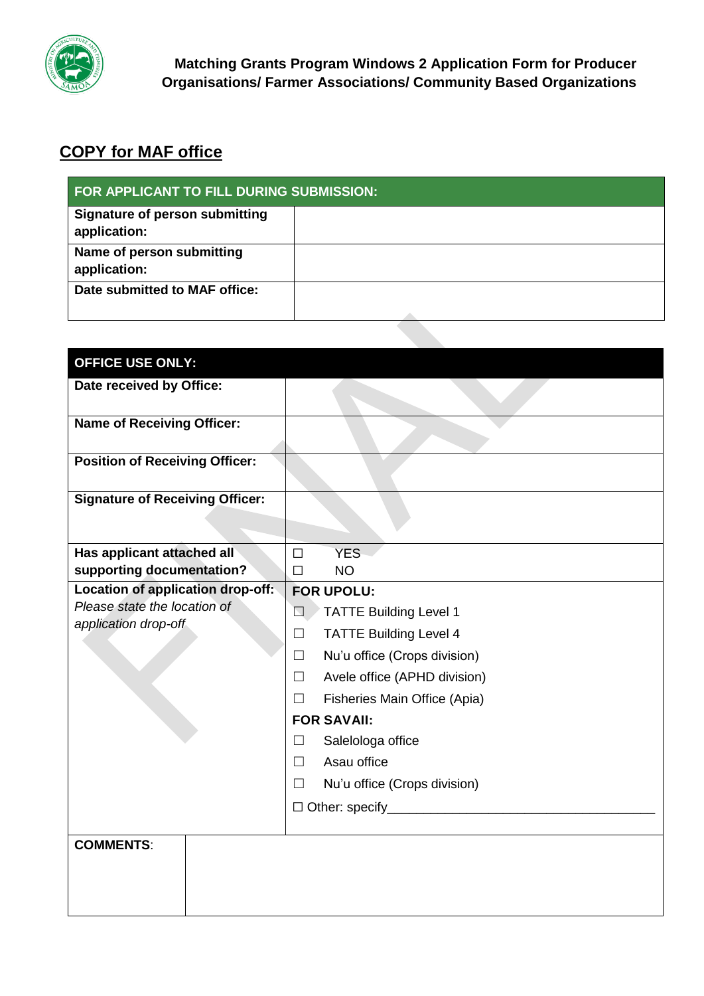

# **COPY for MAF office**

| FOR APPLICANT TO FILL DURING SUBMISSION:       |  |  |
|------------------------------------------------|--|--|
| Signature of person submitting<br>application: |  |  |
| Name of person submitting<br>application:      |  |  |
| Date submitted to MAF office:                  |  |  |

| <b>OFFICE USE ONLY:</b>                                 |                                                   |
|---------------------------------------------------------|---------------------------------------------------|
| Date received by Office:                                |                                                   |
| <b>Name of Receiving Officer:</b>                       |                                                   |
| <b>Position of Receiving Officer:</b>                   |                                                   |
| <b>Signature of Receiving Officer:</b>                  |                                                   |
| Has applicant attached all<br>supporting documentation? | <b>YES</b><br>$\Box$<br><b>NO</b><br>$\Box$       |
| Location of application drop-off:                       | <b>FOR UPOLU:</b>                                 |
| Please state the location of<br>application drop-off    | <b>TATTE Building Level 1</b><br>$\Box$           |
|                                                         | <b>TATTE Building Level 4</b><br>П                |
|                                                         | Nu'u office (Crops division)<br>$\Box$            |
|                                                         | Avele office (APHD division)<br>П                 |
|                                                         | Fisheries Main Office (Apia)<br>$\vert \ \ \vert$ |
|                                                         | <b>FOR SAVAII:</b>                                |
|                                                         | Salelologa office<br>$\Box$                       |
|                                                         | Asau office<br>П                                  |
|                                                         | Nu'u office (Crops division)<br>$\vert \ \ \vert$ |
|                                                         |                                                   |
|                                                         |                                                   |
| <b>COMMENTS:</b>                                        |                                                   |
|                                                         |                                                   |
|                                                         |                                                   |
|                                                         |                                                   |